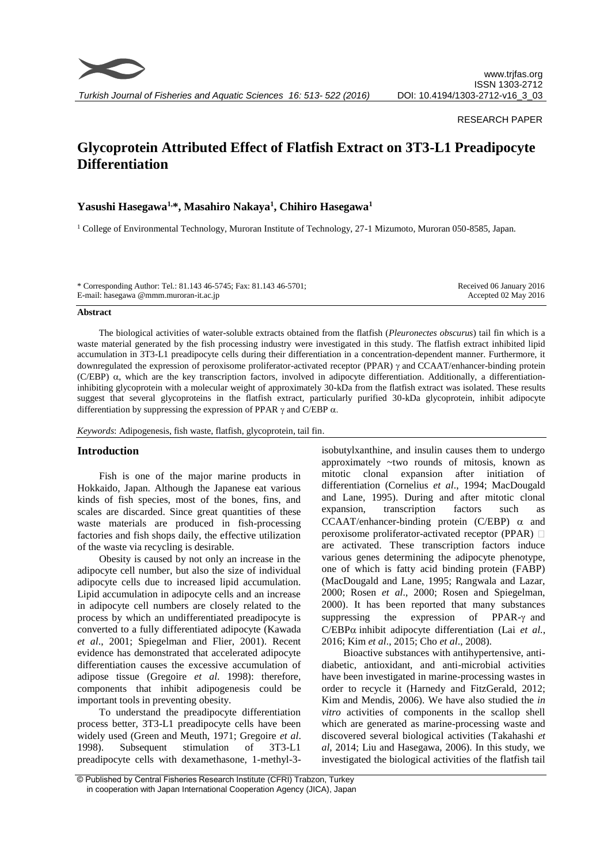

#### RESEARCH PAPER

# **Glycoprotein Attributed Effect of Flatfish Extract on 3T3-L1 Preadipocyte Differentiation**

## **Yasushi Hasegawa1,\*, Masahiro Nakaya<sup>1</sup> , Chihiro Hasegawa<sup>1</sup>**

<sup>1</sup> College of Environmental Technology, Muroran Institute of Technology, 27-1 Mizumoto, Muroran 050-8585, Japan.

| * Corresponding Author: Tel.: 81.143 46-5745; Fax: 81.143 46-5701; | Received 06 January 2016 |
|--------------------------------------------------------------------|--------------------------|
| E-mail: hasegawa @mmm.muroran-it.ac.jp                             | Accepted 02 May 2016     |

#### **Abstract**

The biological activities of water-soluble extracts obtained from the flatfish (*Pleuronectes obscurus*) tail fin which is a waste material generated by the fish processing industry were investigated in this study. The flatfish extract inhibited lipid accumulation in 3T3-L1 preadipocyte cells during their differentiation in a concentration-dependent manner. Furthermore, it downregulated the expression of peroxisome proliferator-activated receptor (PPAR)  $\gamma$  and CCAAT/enhancer-binding protein (C/EBP)  $\alpha$ , which are the key transcription factors, involved in adipocyte differentiation. Additionally, a differentiationinhibiting glycoprotein with a molecular weight of approximately 30-kDa from the flatfish extract was isolated. These results suggest that several glycoproteins in the flatfish extract, particularly purified 30-kDa glycoprotein, inhibit adipocyte differentiation by suppressing the expression of PPAR  $\gamma$  and C/EBP  $\alpha$ .

*Keywords*: Adipogenesis, fish waste, flatfish, glycoprotein, tail fin.

#### **Introduction**

Fish is one of the major marine products in Hokkaido, Japan. Although the Japanese eat various kinds of fish species, most of the bones, fins, and scales are discarded. Since great quantities of these waste materials are produced in fish-processing factories and fish shops daily, the effective utilization of the waste via recycling is desirable.

Obesity is caused by not only an increase in the adipocyte cell number, but also the size of individual adipocyte cells due to increased lipid accumulation. Lipid accumulation in adipocyte cells and an increase in adipocyte cell numbers are closely related to the process by which an undifferentiated preadipocyte is converted to a fully differentiated adipocyte (Kawada *et al*., 2001; Spiegelman and Flier, 2001). Recent evidence has demonstrated that accelerated adipocyte differentiation causes the excessive accumulation of adipose tissue (Gregoire *et al*. 1998): therefore, components that inhibit adipogenesis could be important tools in preventing obesity.

To understand the preadipocyte differentiation process better, 3T3-L1 preadipocyte cells have been widely used (Green and Meuth, 1971; Gregoire *et al*. 1998). Subsequent stimulation of 3T3-L1 preadipocyte cells with dexamethasone, 1-methyl-3isobutylxanthine, and insulin causes them to undergo approximately ~two rounds of mitosis, known as mitotic clonal expansion after initiation of differentiation (Cornelius *et al*., 1994; MacDougald and Lane, 1995). During and after mitotic clonal expansion, transcription factors such as CCAAT/enhancer-binding protein (C/EBP)  $\alpha$  and peroxisome proliferator-activated receptor (PPAR) are activated. These transcription factors induce various genes determining the adipocyte phenotype, one of which is fatty acid binding protein (FABP) (MacDougald and Lane, 1995; Rangwala and Lazar, 2000; Rosen *et al*., 2000; Rosen and Spiegelman, 2000). It has been reported that many substances suppressing the expression of PPAR- $\gamma$  and  $C/EBP\alpha$  inhibit adipocyte differentiation (Lai *et al.*, 2016; Kim *et al*., 2015; Cho *et al*., 2008).

Bioactive substances with antihypertensive, antidiabetic, antioxidant, and anti-microbial activities have been investigated in marine-processing wastes in order to recycle it (Harnedy and FitzGerald, 2012; Kim and Mendis, 2006). We have also studied the *in vitro* activities of components in the scallop shell which are generated as marine-processing waste and discovered several biological activities (Takahashi *et al*, 2014; Liu and Hasegawa, 2006). In this study, we investigated the biological activities of the flatfish tail

<sup>©</sup> Published by Central Fisheries Research Institute (CFRI) Trabzon, Turkey in cooperation with Japan International Cooperation Agency (JICA), Japan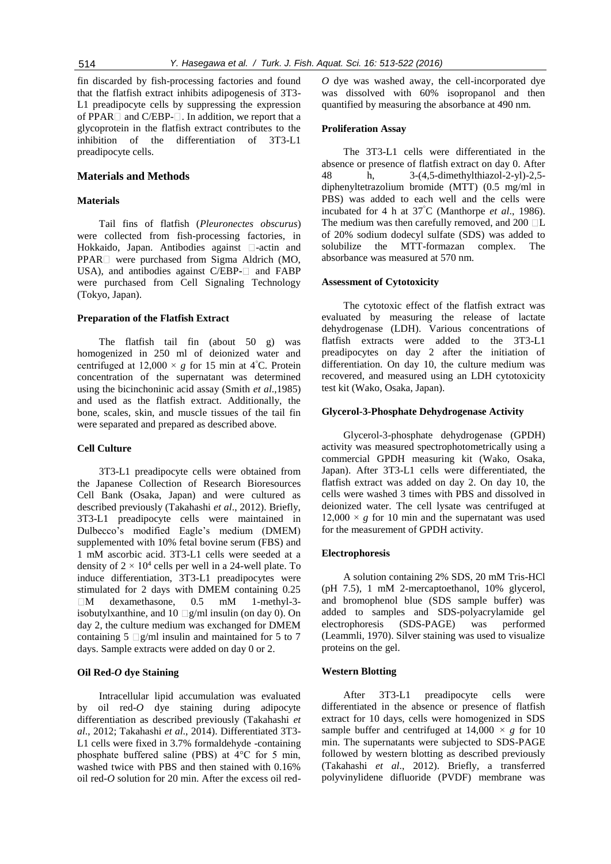fin discarded by fish-processing factories and found that the flatfish extract inhibits adipogenesis of 3T3- L1 preadipocyte cells by suppressing the expression of PPAR $\Box$  and C/EBP- $\Box$ . In addition, we report that a glycoprotein in the flatfish extract contributes to the inhibition of the differentiation of 3T3-L1 preadipocyte cells.

#### **Materials and Methods**

## **Materials**

Tail fins of flatfish (*Pleuronectes obscurus*) were collected from fish-processing factories, in Hokkaido, Japan. Antibodies against  $\Box$ -actin and  $PPAR \Box$  were purchased from Sigma Aldrich (MO, USA), and antibodies against C/EBP- $\Box$  and FABP were purchased from Cell Signaling Technology (Tokyo, Japan).

#### **Preparation of the Flatfish Extract**

The flatfish tail fin (about 50 g) was homogenized in 250 ml of deionized water and centrifuged at  $12,000 \times g$  for 15 min at 4<sup>°</sup>C. Protein concentration of the supernatant was determined using the bicinchoninic acid assay (Smith *et al*.,1985) and used as the flatfish extract. Additionally, the bone, scales, skin, and muscle tissues of the tail fin were separated and prepared as described above.

## **Cell Culture**

3T3-L1 preadipocyte cells were obtained from the Japanese Collection of Research Bioresources Cell Bank (Osaka, Japan) and were cultured as described previously (Takahashi *et al*., 2012). Briefly, 3T3-L1 preadipocyte cells were maintained in Dulbecco's modified Eagle's medium (DMEM) supplemented with 10% fetal bovine serum (FBS) and 1 mM ascorbic acid. 3T3-L1 cells were seeded at a density of  $2 \times 10^4$  cells per well in a 24-well plate. To induce differentiation, 3T3-L1 preadipocytes were stimulated for 2 days with DMEM containing 0.25 M dexamethasone, 0.5 mM 1-methyl-3 isobutylxanthine, and  $10 \Box g/ml$  insulin (on day 0). On day 2, the culture medium was exchanged for DMEM containing 5  $\Box$ g/ml insulin and maintained for 5 to 7 days. Sample extracts were added on day 0 or 2.

#### **Oil Red-***O* **dye Staining**

Intracellular lipid accumulation was evaluated by oil red-*O* dye staining during adipocyte differentiation as described previously (Takahashi *et al*., 2012; Takahashi *et al*., 2014). Differentiated 3T3- L1 cells were fixed in 3.7% formaldehyde -containing phosphate buffered saline (PBS) at 4°C for 5 min, washed twice with PBS and then stained with 0.16% oil red-*O* solution for 20 min. After the excess oil red*O* dye was washed away, the cell-incorporated dye was dissolved with 60% isopropanol and then quantified by measuring the absorbance at 490 nm.

#### **Proliferation Assay**

The 3T3-L1 cells were differentiated in the absence or presence of flatfish extract on day 0. After 48 h, 3-(4,5-dimethylthiazol-2-yl)-2,5 diphenyltetrazolium bromide (MTT) (0.5 mg/ml in PBS) was added to each well and the cells were incubated for 4 h at 37°C (Manthorpe *et al*., 1986). The medium was then carefully removed, and  $200$   $\Box$ L of 20% sodium dodecyl sulfate (SDS) was added to solubilize the MTT-formazan complex. The absorbance was measured at 570 nm.

#### **Assessment of Cytotoxicity**

The cytotoxic effect of the flatfish extract was evaluated by measuring the release of lactate dehydrogenase (LDH). Various concentrations of flatfish extracts were added to the 3T3-L1 preadipocytes on day 2 after the initiation of differentiation. On day 10, the culture medium was recovered, and measured using an LDH cytotoxicity test kit (Wako, Osaka, Japan).

#### **Glycerol-3-Phosphate Dehydrogenase Activity**

Glycerol-3-phosphate dehydrogenase (GPDH) activity was measured spectrophotometrically using a commercial GPDH measuring kit (Wako, Osaka, Japan). After 3T3-L1 cells were differentiated, the flatfish extract was added on day 2. On day 10, the cells were washed 3 times with PBS and dissolved in deionized water. The cell lysate was centrifuged at  $12,000 \times g$  for 10 min and the supernatant was used for the measurement of GPDH activity.

#### **Electrophoresis**

A solution containing 2% SDS, 20 mM Tris-HCl (pH 7.5), 1 mM 2-mercaptoethanol, 10% glycerol, and bromophenol blue (SDS sample buffer) was added to samples and SDS-polyacrylamide gel electrophoresis (SDS-PAGE) was performed (Leammli, 1970). Silver staining was used to visualize proteins on the gel.

## **Western Blotting**

After 3T3-L1 preadipocyte cells were differentiated in the absence or presence of flatfish extract for 10 days, cells were homogenized in SDS sample buffer and centrifuged at  $14,000 \times g$  for 10 min. The supernatants were subjected to SDS-PAGE followed by western blotting as described previously (Takahashi *et al*., 2012). Briefly, a transferred polyvinylidene difluoride (PVDF) membrane was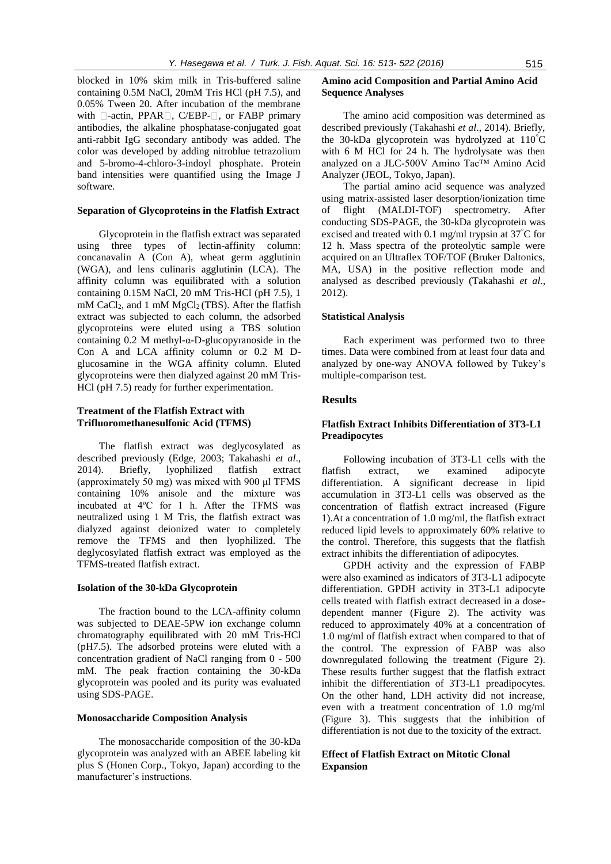blocked in 10% skim milk in Tris-buffered saline containing 0.5M NaCl, 20mM Tris HCl (pH 7.5), and 0.05% Tween 20. After incubation of the membrane with  $\Box$ -actin, PPAR $\Box$ , C/EBP- $\Box$ , or FABP primary antibodies, the alkaline phosphatase-conjugated goat anti-rabbit IgG secondary antibody was added. The color was developed by adding nitroblue tetrazolium and 5-bromo-4-chloro-3-indoyl phosphate. Protein band intensities were quantified using the Image J software.

## **Separation of Glycoproteins in the Flatfish Extract**

Glycoprotein in the flatfish extract was separated using three types of lectin-affinity column: concanavalin A (Con A), wheat germ agglutinin (WGA), and lens culinaris agglutinin (LCA). The affinity column was equilibrated with a solution containing 0.15M NaCl, 20 mM Tris-HCl (pH 7.5), 1 mM CaCl<sub>2</sub>, and 1 mM MgCl<sub>2</sub> (TBS). After the flatfish extract was subjected to each column, the adsorbed glycoproteins were eluted using a TBS solution containing 0.2 M methyl-α-D-glucopyranoside in the Con A and LCA affinity column or 0.2 M Dglucosamine in the WGA affinity column. Eluted glycoproteins were then dialyzed against 20 mM Tris-HCl (pH 7.5) ready for further experimentation.

## **Treatment of the Flatfish Extract with Trifluoromethanesulfonic Acid (TFMS)**

The flatfish extract was deglycosylated as described previously (Edge, 2003; Takahashi *et al*., 2014). Briefly, lyophilized flatfish extract (approximately 50 mg) was mixed with 900 μl TFMS containing 10% anisole and the mixture was incubated at 4ºC for 1 h. After the TFMS was neutralized using 1 M Tris, the flatfish extract was dialyzed against deionized water to completely remove the TFMS and then lyophilized. The deglycosylated flatfish extract was employed as the TFMS-treated flatfish extract.

## **Isolation of the 30-kDa Glycoprotein**

The fraction bound to the LCA-affinity column was subjected to DEAE-5PW ion exchange column chromatography equilibrated with 20 mM Tris-HCl (pH7.5). The adsorbed proteins were eluted with a concentration gradient of NaCl ranging from 0 - 500 mM. The peak fraction containing the 30-kDa glycoprotein was pooled and its purity was evaluated using SDS-PAGE.

#### **Monosaccharide Composition Analysis**

The monosaccharide composition of the 30-kDa glycoprotein was analyzed with an ABEE labeling kit plus S (Honen Corp., Tokyo, Japan) according to the manufacturer's instructions.

## **Amino acid Composition and Partial Amino Acid Sequence Analyses**

The amino acid composition was determined as described previously (Takahashi *et al*., 2014). Briefly, the 30-kDa glycoprotein was hydrolyzed at 110°C with 6 M HCl for 24 h. The hydrolysate was then analyzed on a JLC-500V Amino Tac™ Amino Acid Analyzer (JEOL, Tokyo, Japan).

The partial amino acid sequence was analyzed using matrix-assisted laser desorption/ionization time of flight (MALDI-TOF) spectrometry. After conducting SDS-PAGE, the 30-kDa glycoprotein was excised and treated with 0.1 mg/ml trypsin at 37°C for 12 h. Mass spectra of the proteolytic sample were acquired on an Ultraflex TOF/TOF (Bruker Daltonics, MA, USA) in the positive reflection mode and analysed as described previously (Takahashi *et al*., 2012).

#### **Statistical Analysis**

Each experiment was performed two to three times. Data were combined from at least four data and analyzed by one-way ANOVA followed by Tukey's multiple-comparison test.

## **Results**

## **Flatfish Extract Inhibits Differentiation of 3T3-L1 Preadipocytes**

Following incubation of 3T3-L1 cells with the flatfish extract, we examined adipocyte differentiation. A significant decrease in lipid accumulation in 3T3-L1 cells was observed as the concentration of flatfish extract increased (Figure 1).At a concentration of 1.0 mg/ml, the flatfish extract reduced lipid levels to approximately 60% relative to the control. Therefore, this suggests that the flatfish extract inhibits the differentiation of adipocytes.

GPDH activity and the expression of FABP were also examined as indicators of 3T3-L1 adipocyte differentiation. GPDH activity in 3T3-L1 adipocyte cells treated with flatfish extract decreased in a dosedependent manner (Figure 2). The activity was reduced to approximately 40% at a concentration of 1.0 mg/ml of flatfish extract when compared to that of the control. The expression of FABP was also downregulated following the treatment (Figure 2). These results further suggest that the flatfish extract inhibit the differentiation of 3T3-L1 preadipocytes. On the other hand, LDH activity did not increase, even with a treatment concentration of 1.0 mg/ml (Figure 3). This suggests that the inhibition of differentiation is not due to the toxicity of the extract.

## **Effect of Flatfish Extract on Mitotic Clonal Expansion**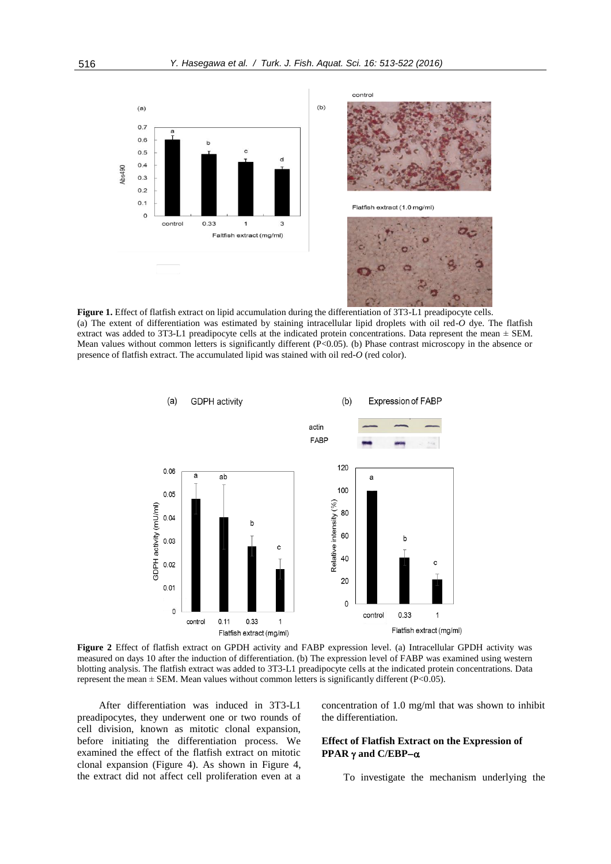contro





**Figure 1.** Effect of flatfish extract on lipid accumulation during the differentiation of 3T3-L1 preadipocyte cells. (a) The extent of differentiation was estimated by staining intracellular lipid droplets with oil red-*O* dye. The flatfish extract was added to 3T3-L1 preadipocyte cells at the indicated protein concentrations. Data represent the mean  $\pm$  SEM. Mean values without common letters is significantly different (P<0.05). (b) Phase contrast microscopy in the absence or presence of flatfish extract. The accumulated lipid was stained with oil red-*O* (red color).



**Figure 2** Effect of flatfish extract on GPDH activity and FABP expression level. (a) Intracellular GPDH activity was measured on days 10 after the induction of differentiation. (b) The expression level of FABP was examined using western blotting analysis. The flatfish extract was added to 3T3-L1 preadipocyte cells at the indicated protein concentrations. Data represent the mean  $\pm$  SEM. Mean values without common letters is significantly different (P<0.05).

After differentiation was induced in 3T3-L1 preadipocytes, they underwent one or two rounds of cell division, known as mitotic clonal expansion, before initiating the differentiation process. We examined the effect of the flatfish extract on mitotic clonal expansion (Figure 4). As shown in Figure 4, the extract did not affect cell proliferation even at a concentration of 1.0 mg/ml that was shown to inhibit the differentiation.

## **Effect of Flatfish Extract on the Expression of PPAR**  $\gamma$  and **C/EBP-** $\alpha$

To investigate the mechanism underlying the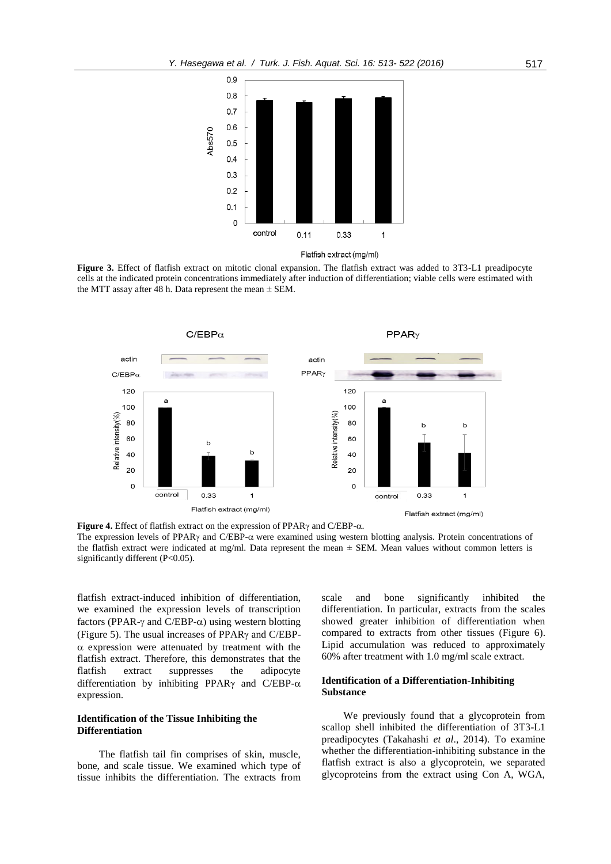

**Figure 3.** Effect of flatfish extract on mitotic clonal expansion. The flatfish extract was added to 3T3-L1 preadipocyte cells at the indicated protein concentrations immediately after induction of differentiation; viable cells were estimated with the MTT assay after 48 h. Data represent the mean  $\pm$  SEM.



**Figure 4.** Effect of flatfish extract on the expression of PPAR $\gamma$  and C/EBP- $\alpha$ . The expression levels of PPAR $\gamma$  and C/EBP- $\alpha$  were examined using western blotting analysis. Protein concentrations of the flatfish extract were indicated at mg/ml. Data represent the mean  $\pm$  SEM. Mean values without common letters is significantly different (P<0.05).

flatfish extract-induced inhibition of differentiation, we examined the expression levels of transcription factors (PPAR- $\gamma$  and C/EBP- $\alpha$ ) using western blotting (Figure 5). The usual increases of PPAR $\gamma$  and C/EBP- $\alpha$  expression were attenuated by treatment with the flatfish extract. Therefore, this demonstrates that the flatfish extract suppresses the adipocyte differentiation by inhibiting PPAR $\gamma$  and C/EBP- $\alpha$ expression.

## **Identification of the Tissue Inhibiting the Differentiation**

The flatfish tail fin comprises of skin, muscle, bone, and scale tissue. We examined which type of tissue inhibits the differentiation. The extracts from

scale and bone significantly inhibited the differentiation. In particular, extracts from the scales showed greater inhibition of differentiation when compared to extracts from other tissues (Figure 6). Lipid accumulation was reduced to approximately 60% after treatment with 1.0 mg/ml scale extract.

## **Identification of a Differentiation-Inhibiting Substance**

We previously found that a glycoprotein from scallop shell inhibited the differentiation of 3T3-L1 preadipocytes (Takahashi *et al*., 2014). To examine whether the differentiation-inhibiting substance in the flatfish extract is also a glycoprotein, we separated glycoproteins from the extract using Con A, WGA,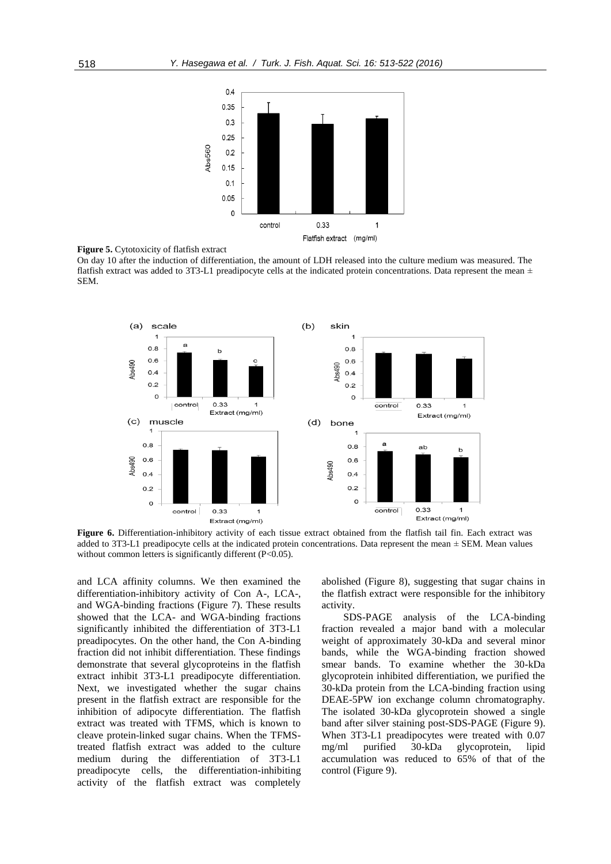



On day 10 after the induction of differentiation, the amount of LDH released into the culture medium was measured. The flatfish extract was added to 3T3-L1 preadipocyte cells at the indicated protein concentrations. Data represent the mean  $\pm$ SEM.



**Figure 6.** Differentiation-inhibitory activity of each tissue extract obtained from the flatfish tail fin. Each extract was added to 3T3-L1 preadipocyte cells at the indicated protein concentrations. Data represent the mean  $\pm$  SEM. Mean values without common letters is significantly different (P<0.05).

and LCA affinity columns. We then examined the differentiation-inhibitory activity of Con A-, LCA-, and WGA-binding fractions (Figure 7). These results showed that the LCA- and WGA-binding fractions significantly inhibited the differentiation of 3T3-L1 preadipocytes. On the other hand, the Con A-binding fraction did not inhibit differentiation. These findings demonstrate that several glycoproteins in the flatfish extract inhibit 3T3-L1 preadipocyte differentiation. Next, we investigated whether the sugar chains present in the flatfish extract are responsible for the inhibition of adipocyte differentiation. The flatfish extract was treated with TFMS, which is known to cleave protein-linked sugar chains. When the TFMStreated flatfish extract was added to the culture medium during the differentiation of 3T3-L1 preadipocyte cells, the differentiation-inhibiting activity of the flatfish extract was completely

abolished (Figure 8), suggesting that sugar chains in the flatfish extract were responsible for the inhibitory activity.

SDS-PAGE analysis of the LCA-binding fraction revealed a major band with a molecular weight of approximately 30-kDa and several minor bands, while the WGA-binding fraction showed smear bands. To examine whether the 30-kDa glycoprotein inhibited differentiation, we purified the 30-kDa protein from the LCA-binding fraction using DEAE-5PW ion exchange column chromatography. The isolated 30-kDa glycoprotein showed a single band after silver staining post-SDS-PAGE (Figure 9). When 3T3-L1 preadipocytes were treated with 0.07 mg/ml purified 30-kDa glycoprotein, lipid accumulation was reduced to 65% of that of the control (Figure 9).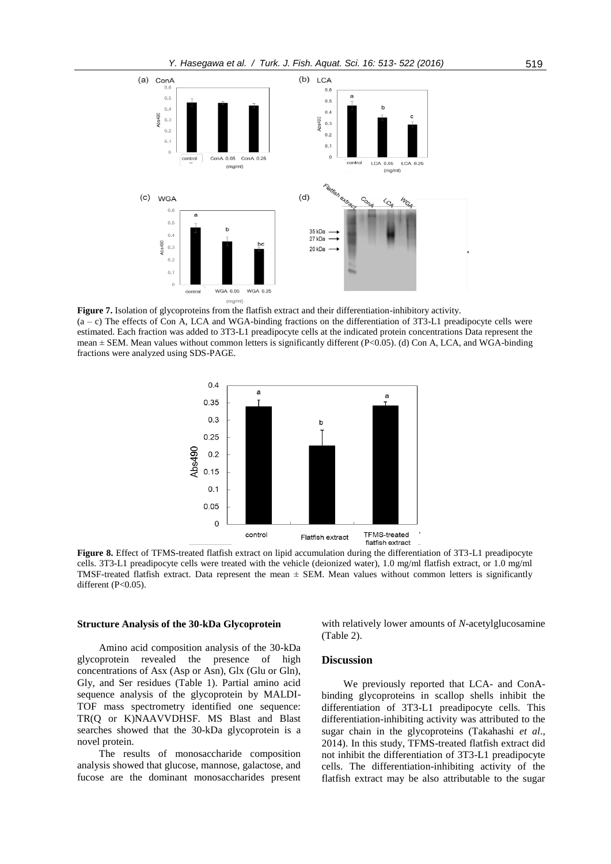

**Figure 7.** Isolation of glycoproteins from the flatfish extract and their differentiation-inhibitory activity.  $(a - c)$  The effects of Con A, LCA and WGA-binding fractions on the differentiation of 3T3-L1 preadipocyte cells were estimated. Each fraction was added to 3T3-L1 preadipocyte cells at the indicated protein concentrations Data represent the mean  $\pm$  SEM. Mean values without common letters is significantly different (P<0.05). (d) Con A, LCA, and WGA-binding fractions were analyzed using SDS-PAGE.



**Figure 8.** Effect of TFMS-treated flatfish extract on lipid accumulation during the differentiation of 3T3-L1 preadipocyte cells. 3T3-L1 preadipocyte cells were treated with the vehicle (deionized water), 1.0 mg/ml flatfish extract, or 1.0 mg/ml TMSF-treated flatfish extract. Data represent the mean  $\pm$  SEM. Mean values without common letters is significantly different (P<0.05).

#### **Structure Analysis of the 30-kDa Glycoprotein**

Amino acid composition analysis of the 30-kDa glycoprotein revealed the presence of high concentrations of Asx (Asp or Asn), Glx (Glu or Gln), Gly, and Ser residues (Table 1). Partial amino acid sequence analysis of the glycoprotein by MALDI-TOF mass spectrometry identified one sequence: TR(Q or K)NAAVVDHSF. MS Blast and Blast searches showed that the 30-kDa glycoprotein is a novel protein.

The results of monosaccharide composition analysis showed that glucose, mannose, galactose, and fucose are the dominant monosaccharides present with relatively lower amounts of *N*-acetylglucosamine (Table 2).

#### **Discussion**

We previously reported that LCA- and ConAbinding glycoproteins in scallop shells inhibit the differentiation of 3T3-L1 preadipocyte cells. This differentiation-inhibiting activity was attributed to the sugar chain in the glycoproteins (Takahashi *et al*., 2014). In this study, TFMS-treated flatfish extract did not inhibit the differentiation of 3T3-L1 preadipocyte cells. The differentiation-inhibiting activity of the flatfish extract may be also attributable to the sugar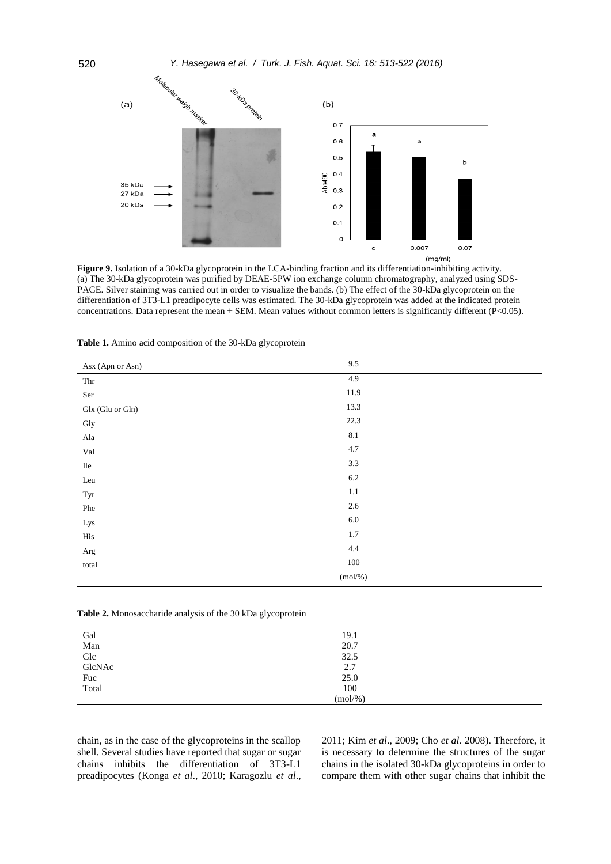

**Figure 9.** Isolation of a 30-kDa glycoprotein in the LCA-binding fraction and its differentiation-inhibiting activity. (a) The 30-kDa glycoprotein was purified by DEAE-5PW ion exchange column chromatography, analyzed using SDS-PAGE. Silver staining was carried out in order to visualize the bands. (b) The effect of the 30-kDa glycoprotein on the differentiation of 3T3-L1 preadipocyte cells was estimated. The 30-kDa glycoprotein was added at the indicated protein concentrations. Data represent the mean  $\pm$  SEM. Mean values without common letters is significantly different (P<0.05).

| Asx (Apn or Asn)              | 9.5        |
|-------------------------------|------------|
| Thr                           | 4.9        |
| $\rm Ser$                     | 11.9       |
| Glx (Glu or Gln)              | 13.3       |
| Gly                           | 22.3       |
| ${\rm Ala}$                   | $8.1\,$    |
| $\operatorname{Val}$          | $4.7\,$    |
| $\rm He$                      | 3.3        |
| Leu                           | $6.2\,$    |
| Tyr                           | $1.1\,$    |
| Phe                           | $2.6\,$    |
| Lys                           | $6.0\,$    |
| $\rm\, His$                   | $1.7\,$    |
| $\rm Arg$                     | $4.4\,$    |
| $\ensuremath{\mathrm{total}}$ | 100        |
|                               | $(mol/\%)$ |

**Table 1.** Amino acid composition of the 30-kDa glycoprotein

| <b>Table 2.</b> Monosaccharide analysis of the 30 kDa glycoprotein |  |  |  |  |  |  |  |  |  |  |  |  |
|--------------------------------------------------------------------|--|--|--|--|--|--|--|--|--|--|--|--|
|--------------------------------------------------------------------|--|--|--|--|--|--|--|--|--|--|--|--|

| Gal<br>Man    | 19.1       |  |
|---------------|------------|--|
|               | 20.7       |  |
| Glc<br>GlcNAc | 32.5       |  |
|               | 2.7        |  |
| Fuc           | 25.0       |  |
| Total         | 100        |  |
|               | $(mol/\%)$ |  |

chain, as in the case of the glycoproteins in the scallop shell. Several studies have reported that sugar or sugar chains inhibits the differentiation of 3T3-L1 preadipocytes (Konga *et al*., 2010; Karagozlu *et al*., 2011; Kim *et al*., 2009; Cho *et al*. 2008). Therefore, it is necessary to determine the structures of the sugar chains in the isolated 30-kDa glycoproteins in order to compare them with other sugar chains that inhibit the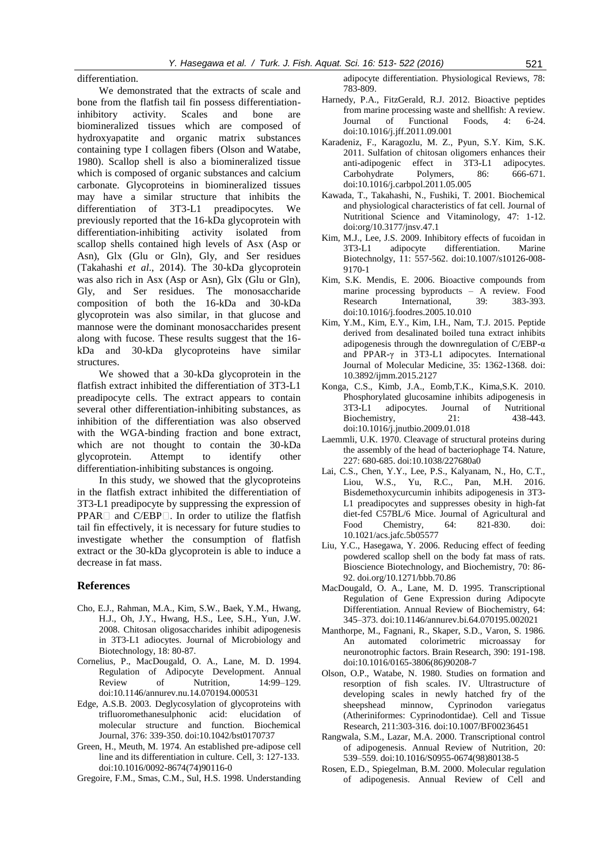differentiation.

We demonstrated that the extracts of scale and bone from the flatfish tail fin possess differentiationinhibitory activity. Scales and bone are biomineralized tissues which are composed of hydroxyapatite and organic matrix substances containing type I collagen fibers (Olson and Watabe, 1980). Scallop shell is also a biomineralized tissue which is composed of organic substances and calcium carbonate. Glycoproteins in biomineralized tissues may have a similar structure that inhibits the differentiation of 3T3-L1 preadipocytes. We previously reported that the 16-kDa glycoprotein with differentiation-inhibiting activity isolated from scallop shells contained high levels of Asx (Asp or Asn), Glx (Glu or Gln), Gly, and Ser residues (Takahashi *et al*., 2014). The 30-kDa glycoprotein was also rich in Asx (Asp or Asn), Glx (Glu or Gln), Gly, and Ser residues. The monosaccharide composition of both the 16-kDa and 30-kDa glycoprotein was also similar, in that glucose and mannose were the dominant monosaccharides present along with fucose. These results suggest that the 16 kDa and 30-kDa glycoproteins have similar structures.

We showed that a 30-kDa glycoprotein in the flatfish extract inhibited the differentiation of 3T3-L1 preadipocyte cells. The extract appears to contain several other differentiation-inhibiting substances, as inhibition of the differentiation was also observed with the WGA-binding fraction and bone extract, which are not thought to contain the 30-kDa glycoprotein. Attempt to identify other differentiation-inhibiting substances is ongoing.

In this study, we showed that the glycoproteins in the flatfish extract inhibited the differentiation of 3T3-L1 preadipocyte by suppressing the expression of  $PPAR \Box$  and  $C/EBP \Box$ . In order to utilize the flatfish tail fin effectively, it is necessary for future studies to investigate whether the consumption of flatfish extract or the 30-kDa glycoprotein is able to induce a decrease in fat mass.

#### **References**

- Cho, E.J., Rahman, M.A., Kim, S.W., Baek, Y.M., Hwang, H.J., Oh, J.Y., Hwang, H.S., Lee, S.H., Yun, J.W. 2008. Chitosan oligosaccharides inhibit adipogenesis in 3T3-L1 adiocytes. Journal of Microbiology and Biotechnology, 18: 80-87.
- Cornelius, P., MacDougald, O. A., Lane, M. D. 1994. Regulation of Adipocyte Development. Annual Review of Nutrition, 14:99–129. doi:10.1146/annurev.nu.14.070194.000531
- Edge, A.S.B. 2003. Deglycosylation of glycoproteins with trifluoromethanesulphonic acid: elucidation of molecular structure and function. Biochemical Journal, 376: 339-350. doi:10.1042/bst0170737
- Green, H., Meuth, M. 1974. An established pre-adipose cell line and its differentiation in culture. Cell, 3: 127-133. doi:10.1016/0092-8674(74)90116-0
- Gregoire, F.M., Smas, C.M., Sul, H.S. 1998. Understanding

adipocyte differentiation. Physiological Reviews, 78: 783-809.

- Harnedy, P.A., FitzGerald, R.J. 2012. Bioactive peptides from marine processing waste and shellfish: A review. Journal of Functional Foods, 4: 6-24. [doi:10.1016/j.jff.2011.09.001](http://dx.doi.org/10.1016/j.jff.2011.09.001)
- [Karadeniz,](http://www.sciencedirect.com/science/article/pii/S014486171100381X) F., [Karagozlu,](http://www.sciencedirect.com/science/article/pii/S014486171100381X) M. Z., [Pyun,](http://www.sciencedirect.com/science/article/pii/S014486171100381X) S.Y. [Kim,](http://www.sciencedirect.com/science/article/pii/S014486171100381X) S.K. 2011. Sulfation of chitosan oligomers enhances their anti-adipogenic effect in 3T3-L1 adipocytes. Carbohydrate Polymers, 86: [doi:10.1016/j.carbpol.2011.05.005](http://dx.doi.org/10.1016/j.carbpol.2011.05.005)
- Kawada, T., Takahashi, N., Fushiki, T. 2001. Biochemical and physiological characteristics of fat cell. Journal of Nutritional Science and Vitaminology, 47: 1-12. doi:org/10.3177/jnsv.47.1
- Kim, M.J., Lee, J.S. 2009. Inhibitory effects of fucoidan in 3T3-L1 adipocyte differentiation. Marine Biotechnolgy, 11: 557-562. doi:10.1007/s10126-008- 9170-1
- Kim, S.K. Mendis, E. 2006. Bioactive compounds from marine processing byproducts – A review. Food Research International, 39: 383-393. [doi:10.1016/j.foodres.2005.10.010](http://dx.doi.org/10.1016/j.foodres.2005.10.010)
- Kim, Y.M., Kim, E.Y., Kim, I.H., Nam, T.J. 2015. Peptide derived from desalinated boiled tuna extract inhibits adipogenesis through the downregulation of C/EBP-α and PPAR-γ in 3T3-L1 adipocytes. International Journal of Molecular Medicine, 35: 1362-1368. doi: 10.3892/ijmm.2015.2127
- Konga, C.S., Kimb, J.A., Eomb,T.K., Kima,S.K. 2010. Phosphorylated glucosamine inhibits adipogenesis in 3T3-L1 adipocytes. Journal of Nutritional Biochemistry, 21: 438-443. [doi:10.1016/j.jnutbio.2009.01.018](http://dx.doi.org/10.1016/j.jnutbio.2009.01.018)
- Laemmli, U.K. 1970. Cleavage of structural proteins during the assembly of the head of bacteriophage T4. Nature, 227: 680-685. doi:10.1038/227680a0
- Lai, C.S., Chen, Y.Y., Lee, P.S., Kalyanam, N., Ho, C.T., Liou, W.S., Yu, R.C., Pan, M.H. 2016. Bisdemethoxycurcumin inhibits adipogenesis in 3T3- L1 preadipocytes and suppresses obesity in high-fat diet-fed C57BL/6 Mice. Journal of Agricultural and Food Chemistry, 64: 821-830. doi: 10.1021/acs.jafc.5b05577
- Liu, Y.C., Hasegawa, Y. 2006. Reducing effect of feeding powdered scallop shell on the body fat mass of rats. Bioscience Biotechnology, and Biochemistry, 70: 86- 92. doi.org/10.1271/bbb.70.86
- MacDougald, O. A., Lane, M. D. 1995. Transcriptional Regulation of Gene Expression during Adipocyte Differentiation. Annual Review of Biochemistry, 64: 345–373. doi:10.1146/annurev.bi.64.070195.002021
- Manthorpe, M., Fagnani, R., Skaper, S.D., Varon, S. 1986. An automated colorimetric microassay for neuronotrophic factors. Brain Research, 390: 191-198. doi:10.1016/0165-3806(86)90208-7
- Olson, O.P., Watabe, N. 1980. Studies on formation and resorption of fish scales. IV. Ultrastructure of developing scales in newly hatched fry of the sheepshead minnow, Cyprinodon variegatus (Atheriniformes: Cyprinodontidae). Cell and Tissue Research, 211:303-316. doi:10.1007/BF00236451
- Rangwala, S.M., Lazar, M.A. 2000. Transcriptional control of adipogenesis. Annual Review of Nutrition, 20: 539–559[. doi:10.1016/S0955-0674\(98\)80138-5](http://dx.doi.org/10.1016/S0955-0674(98)80138-5)
- Rosen, E.D., Spiegelman, B.M. 2000. Molecular regulation of adipogenesis. Annual Review of Cell and